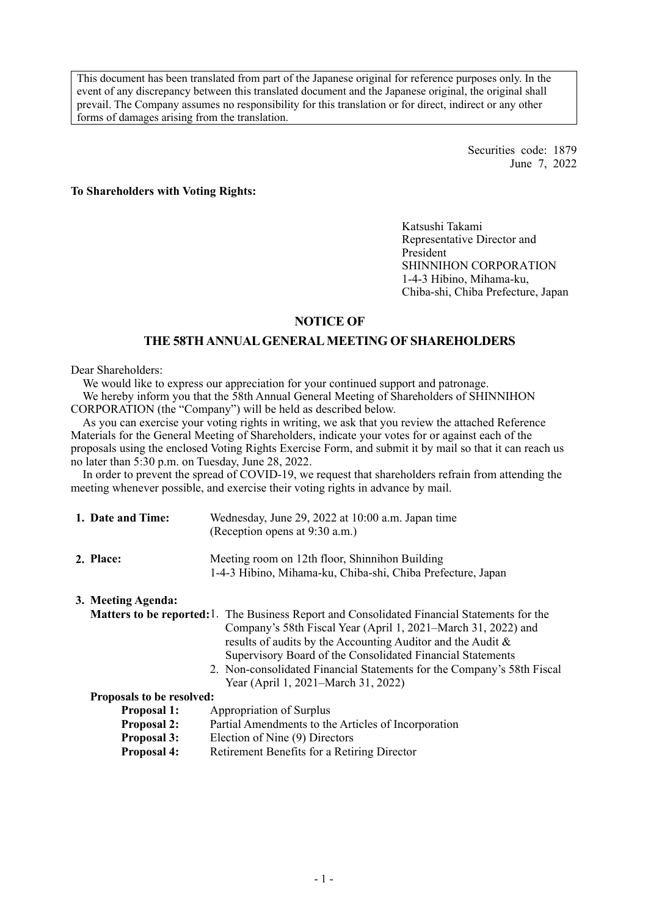This document has been translated from part of the Japanese original for reference purposes only. In the event of any discrepancy between this translated document and the Japanese original, the original shall prevail. The Company assumes no responsibility for this translation or for direct, indirect or any other forms of damages arising from the translation.

> Securities code: 1879 June 7, 2022

**To Shareholders with Voting Rights:** 

Katsushi Takami Representative Director and President SHINNIHON CORPORATION 1-4-3 Hibino, Mihama-ku, Chiba-shi, Chiba Prefecture, Japan

# **NOTICE OF**

# **THE 58TH ANNUAL GENERAL MEETING OF SHAREHOLDERS**

#### Dear Shareholders:

We would like to express our appreciation for your continued support and patronage. We hereby inform you that the 58th Annual General Meeting of Shareholders of SHINNIHON CORPORATION (the "Company") will be held as described below.

As you can exercise your voting rights in writing, we ask that you review the attached Reference Materials for the General Meeting of Shareholders, indicate your votes for or against each of the proposals using the enclosed Voting Rights Exercise Form, and submit it by mail so that it can reach us no later than 5:30 p.m. on Tuesday, June 28, 2022.

In order to prevent the spread of COVID-19, we request that shareholders refrain from attending the meeting whenever possible, and exercise their voting rights in advance by mail.

| 1. Date and Time:  | Wednesday, June 29, 2022 at 10:00 a.m. Japan time<br>(Reception opens at 9:30 a.m.)                           |
|--------------------|---------------------------------------------------------------------------------------------------------------|
| 2. Place:          | Meeting room on 12th floor, Shinnihon Building<br>1-4-3 Hibino, Mihama-ku, Chiba-shi, Chiba Prefecture, Japan |
| 3. Meeting Agenda: |                                                                                                               |

Matters to be reported: 1. The Business Report and Consolidated Financial Statements for the Company's 58th Fiscal Year (April 1, 2021–March 31, 2022) and results of audits by the Accounting Auditor and the Audit & Supervisory Board of the Consolidated Financial Statements

 2. Non-consolidated Financial Statements for the Company's 58th Fiscal Year (April 1, 2021–March 31, 2022)

#### **Proposals to be resolved:**

- **Proposal 1:** Appropriation of Surplus
- **Proposal 2:** Partial Amendments to the Articles of Incorporation
- **Proposal 3:** Election of Nine (9) Directors
- **Proposal 4:** Retirement Benefits for a Retiring Director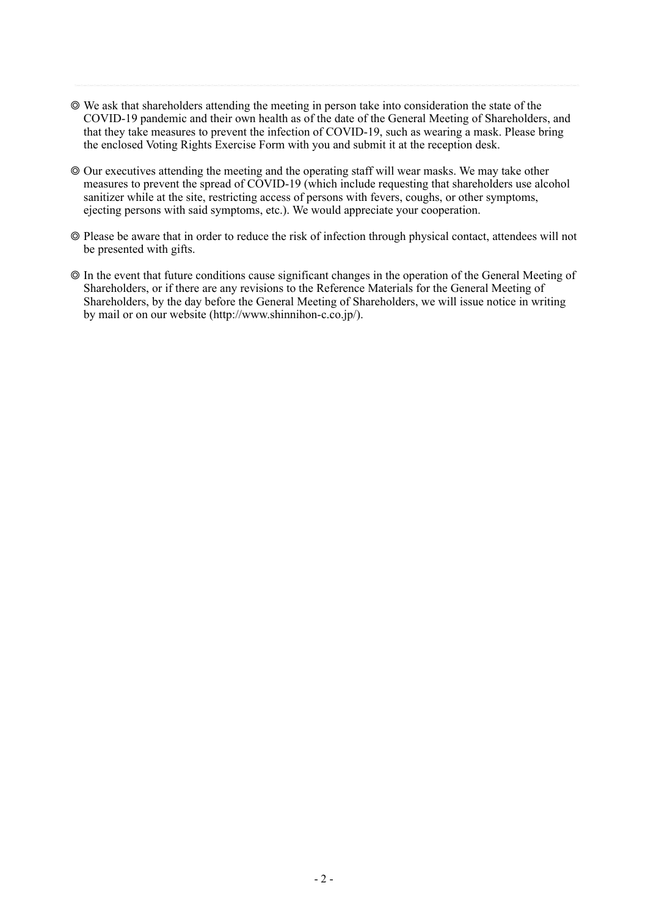- ◎ We ask that shareholders attending the meeting in person take into consideration the state of the COVID-19 pandemic and their own health as of the date of the General Meeting of Shareholders, and that they take measures to prevent the infection of COVID-19, such as wearing a mask. Please bring the enclosed Voting Rights Exercise Form with you and submit it at the reception desk.
- ◎ Our executives attending the meeting and the operating staff will wear masks. We may take other measures to prevent the spread of COVID-19 (which include requesting that shareholders use alcohol sanitizer while at the site, restricting access of persons with fevers, coughs, or other symptoms, ejecting persons with said symptoms, etc.). We would appreciate your cooperation.
- ◎ Please be aware that in order to reduce the risk of infection through physical contact, attendees will not be presented with gifts.
- ◎ In the event that future conditions cause significant changes in the operation of the General Meeting of Shareholders, or if there are any revisions to the Reference Materials for the General Meeting of Shareholders, by the day before the General Meeting of Shareholders, we will issue notice in writing by mail or on our website (http://www.shinnihon-c.co.jp/).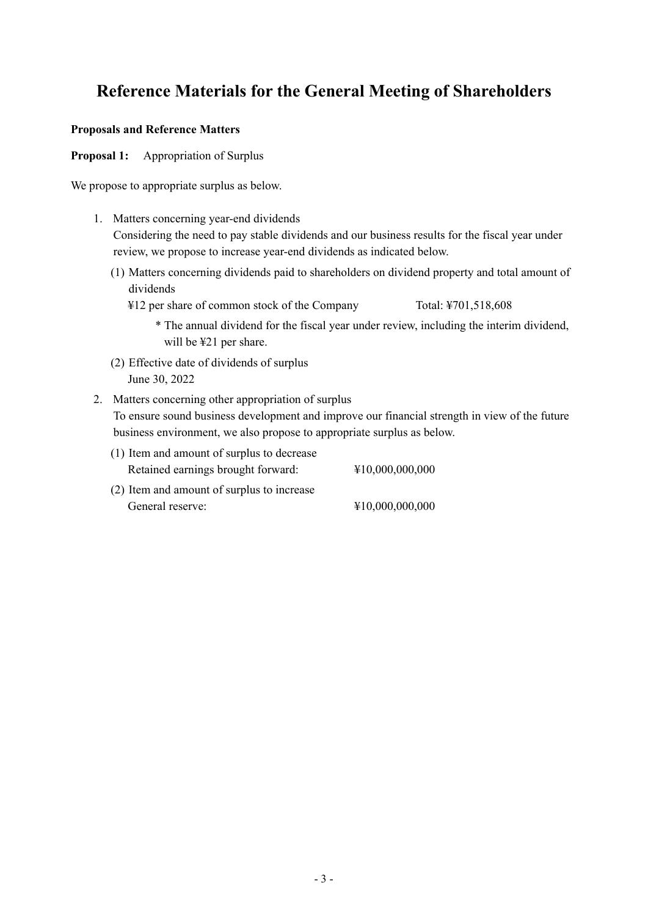# **Reference Materials for the General Meeting of Shareholders**

### **Proposals and Reference Matters**

**Proposal 1:** Appropriation of Surplus

We propose to appropriate surplus as below.

- 1. Matters concerning year-end dividends Considering the need to pay stable dividends and our business results for the fiscal year under review, we propose to increase year-end dividends as indicated below.
	- (1) Matters concerning dividends paid to shareholders on dividend property and total amount of dividends
		- ¥12 per share of common stock of the Company Total: ¥701,518,608
			- \* The annual dividend for the fiscal year under review, including the interim dividend, will be ¥21 per share.
	- (2) Effective date of dividends of surplus June 30, 2022
- 2. Matters concerning other appropriation of surplus To ensure sound business development and improve our financial strength in view of the future business environment, we also propose to appropriate surplus as below.
	- (1) Item and amount of surplus to decrease Retained earnings brought forward: ¥10,000,000,000 (2) Item and amount of surplus to increase General reserve:  $\text{\$10,000,000,000}$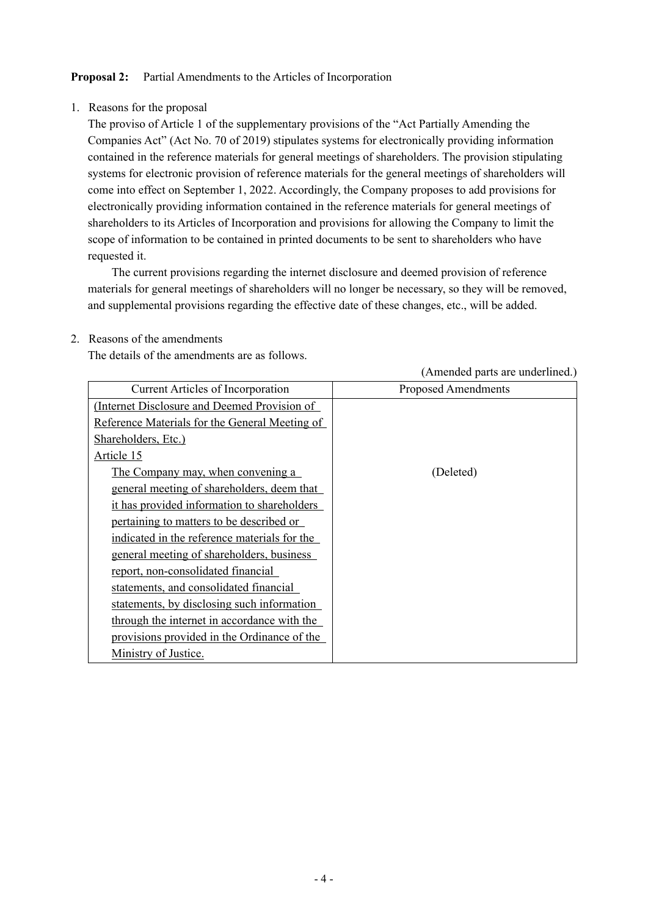# **Proposal 2:** Partial Amendments to the Articles of Incorporation

# 1. Reasons for the proposal

The proviso of Article 1 of the supplementary provisions of the "Act Partially Amending the Companies Act" (Act No. 70 of 2019) stipulates systems for electronically providing information contained in the reference materials for general meetings of shareholders. The provision stipulating systems for electronic provision of reference materials for the general meetings of shareholders will come into effect on September 1, 2022. Accordingly, the Company proposes to add provisions for electronically providing information contained in the reference materials for general meetings of shareholders to its Articles of Incorporation and provisions for allowing the Company to limit the scope of information to be contained in printed documents to be sent to shareholders who have requested it.

The current provisions regarding the internet disclosure and deemed provision of reference materials for general meetings of shareholders will no longer be necessary, so they will be removed, and supplemental provisions regarding the effective date of these changes, etc., will be added.

|                                                | (Amended parts are underlined.) |
|------------------------------------------------|---------------------------------|
| <b>Current Articles of Incorporation</b>       | <b>Proposed Amendments</b>      |
| (Internet Disclosure and Deemed Provision of   |                                 |
| Reference Materials for the General Meeting of |                                 |
| Shareholders, Etc.)                            |                                 |
| Article 15                                     |                                 |
| <u>The Company may, when convening a</u>       | (Deleted)                       |
| general meeting of shareholders, deem that     |                                 |
| it has provided information to shareholders    |                                 |
| pertaining to matters to be described or       |                                 |
| indicated in the reference materials for the   |                                 |
| general meeting of shareholders, business      |                                 |
| report, non-consolidated financial             |                                 |
| statements, and consolidated financial         |                                 |
| statements, by disclosing such information     |                                 |
| through the internet in accordance with the    |                                 |
| provisions provided in the Ordinance of the    |                                 |
| Ministry of Justice.                           |                                 |

2. Reasons of the amendments

The details of the amendments are as follows.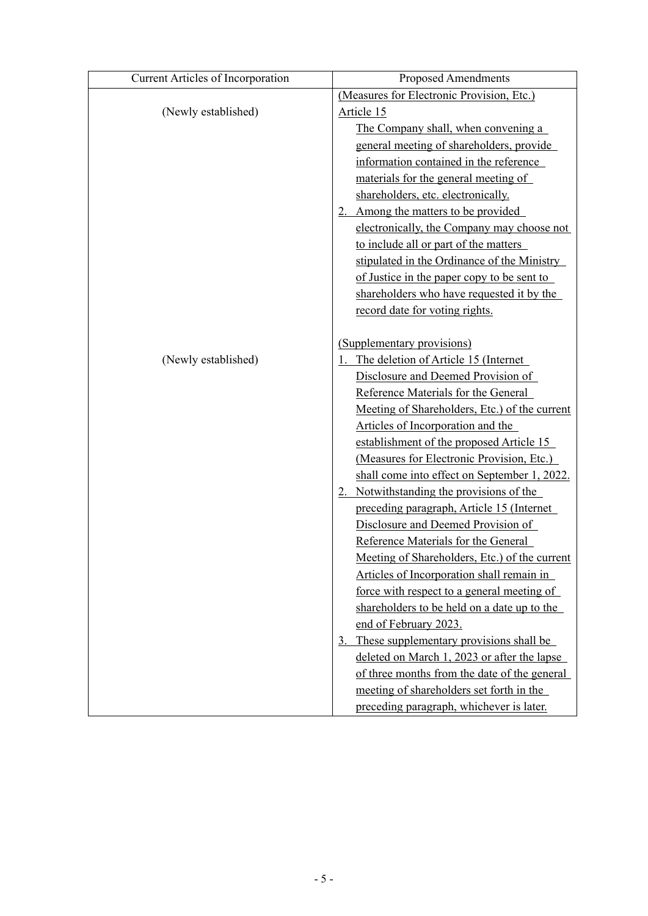| <b>Current Articles of Incorporation</b> | <b>Proposed Amendments</b>                    |
|------------------------------------------|-----------------------------------------------|
|                                          | (Measures for Electronic Provision, Etc.)     |
| (Newly established)                      | Article 15                                    |
|                                          | The Company shall, when convening a           |
|                                          | general meeting of shareholders, provide      |
|                                          | information contained in the reference        |
|                                          | materials for the general meeting of          |
|                                          | shareholders, etc. electronically.            |
|                                          | 2. Among the matters to be provided           |
|                                          | electronically, the Company may choose not    |
|                                          | to include all or part of the matters         |
|                                          | stipulated in the Ordinance of the Ministry   |
|                                          | of Justice in the paper copy to be sent to    |
|                                          | shareholders who have requested it by the     |
|                                          | record date for voting rights.                |
|                                          |                                               |
|                                          | (Supplementary provisions)                    |
| (Newly established)                      | The deletion of Article 15 (Internet          |
|                                          | Disclosure and Deemed Provision of            |
|                                          | Reference Materials for the General           |
|                                          | Meeting of Shareholders, Etc.) of the current |
|                                          | Articles of Incorporation and the             |
|                                          | establishment of the proposed Article 15      |
|                                          | (Measures for Electronic Provision, Etc.)     |
|                                          | shall come into effect on September 1, 2022.  |
|                                          | 2. Notwithstanding the provisions of the      |
|                                          | preceding paragraph, Article 15 (Internet     |
|                                          | Disclosure and Deemed Provision of            |
|                                          | Reference Materials for the General           |
|                                          | Meeting of Shareholders, Etc.) of the current |
|                                          | Articles of Incorporation shall remain in     |
|                                          | force with respect to a general meeting of    |
|                                          | shareholders to be held on a date up to the   |
|                                          | end of February 2023.                         |
|                                          | 3. These supplementary provisions shall be    |
|                                          | deleted on March 1, 2023 or after the lapse   |
|                                          | of three months from the date of the general  |
|                                          | meeting of shareholders set forth in the      |
|                                          | preceding paragraph, whichever is later.      |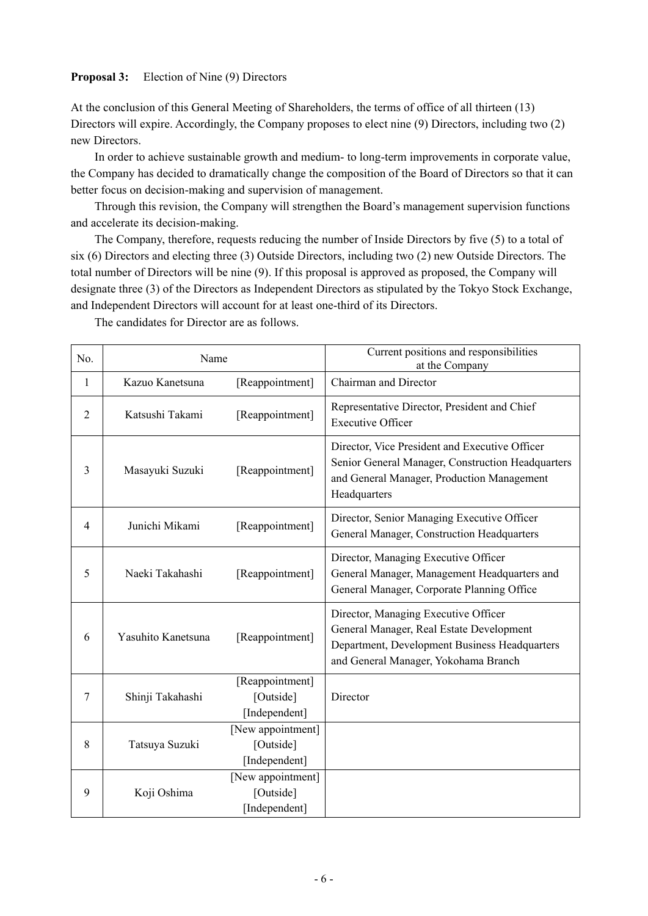# **Proposal 3:** Election of Nine (9) Directors

At the conclusion of this General Meeting of Shareholders, the terms of office of all thirteen (13) Directors will expire. Accordingly, the Company proposes to elect nine (9) Directors, including two (2) new Directors.

In order to achieve sustainable growth and medium- to long-term improvements in corporate value, the Company has decided to dramatically change the composition of the Board of Directors so that it can better focus on decision-making and supervision of management.

Through this revision, the Company will strengthen the Board's management supervision functions and accelerate its decision-making.

The Company, therefore, requests reducing the number of Inside Directors by five (5) to a total of six (6) Directors and electing three (3) Outside Directors, including two (2) new Outside Directors. The total number of Directors will be nine (9). If this proposal is approved as proposed, the Company will designate three (3) of the Directors as Independent Directors as stipulated by the Tokyo Stock Exchange, and Independent Directors will account for at least one-third of its Directors.

| No.                                                                    | Name                               |                                                 | Current positions and responsibilities<br>at the Company                                                                                                                  |
|------------------------------------------------------------------------|------------------------------------|-------------------------------------------------|---------------------------------------------------------------------------------------------------------------------------------------------------------------------------|
| 1                                                                      | Kazuo Kanetsuna<br>[Reappointment] |                                                 | Chairman and Director                                                                                                                                                     |
| $\overline{2}$                                                         | [Reappointment]<br>Katsushi Takami |                                                 | Representative Director, President and Chief<br><b>Executive Officer</b>                                                                                                  |
| [Reappointment]<br>3<br>Masayuki Suzuki                                |                                    |                                                 | Director, Vice President and Executive Officer<br>Senior General Manager, Construction Headquarters<br>and General Manager, Production Management<br>Headquarters         |
| $\overline{4}$                                                         | Junichi Mikami                     | [Reappointment]                                 | Director, Senior Managing Executive Officer<br>General Manager, Construction Headquarters                                                                                 |
| 5                                                                      | Naeki Takahashi                    | [Reappointment]                                 | Director, Managing Executive Officer<br>General Manager, Management Headquarters and<br>General Manager, Corporate Planning Office                                        |
| Yasuhito Kanetsuna<br>[Reappointment]<br>6                             |                                    |                                                 | Director, Managing Executive Officer<br>General Manager, Real Estate Development<br>Department, Development Business Headquarters<br>and General Manager, Yokohama Branch |
| 7                                                                      | Shinji Takahashi                   | [Reappointment]<br>[Outside]<br>[Independent]   | Director                                                                                                                                                                  |
| [New appointment]<br>[Outside]<br>8<br>Tatsuya Suzuki<br>[Independent] |                                    |                                                 |                                                                                                                                                                           |
| 9                                                                      | Koji Oshima                        | [New appointment]<br>[Outside]<br>[Independent] |                                                                                                                                                                           |

The candidates for Director are as follows.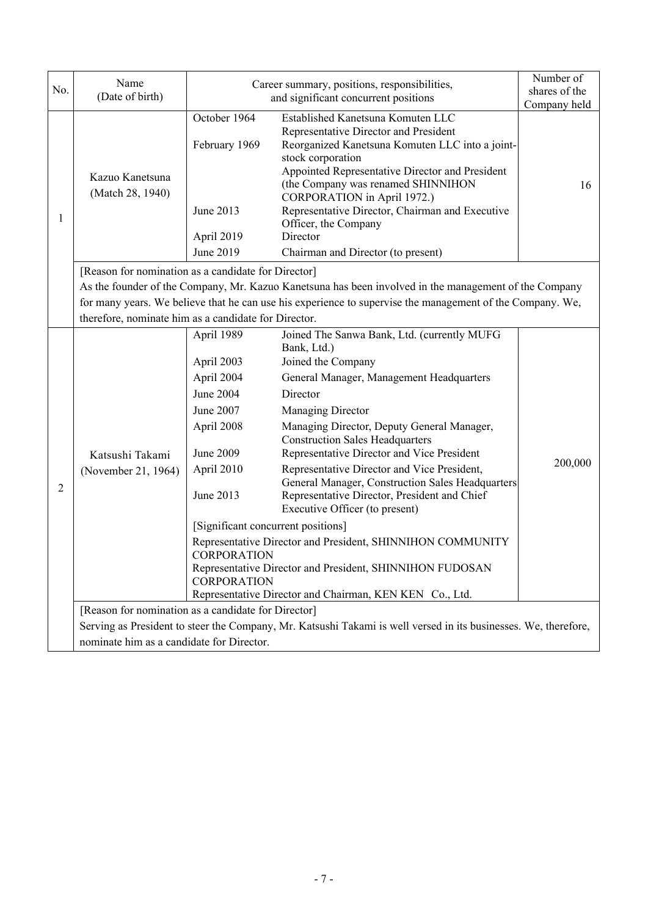| No.                                       | Name                                                                                                            | Career summary, positions, responsibilities,                          | Number of<br>shares of the                                                                                                                                                                                                                                                                                                                                                                              |              |  |  |  |
|-------------------------------------------|-----------------------------------------------------------------------------------------------------------------|-----------------------------------------------------------------------|---------------------------------------------------------------------------------------------------------------------------------------------------------------------------------------------------------------------------------------------------------------------------------------------------------------------------------------------------------------------------------------------------------|--------------|--|--|--|
|                                           | (Date of birth)                                                                                                 |                                                                       | and significant concurrent positions                                                                                                                                                                                                                                                                                                                                                                    | Company held |  |  |  |
| 1                                         | Kazuo Kanetsuna<br>(Match 28, 1940)                                                                             | October 1964<br>February 1969<br>June 2013<br>April 2019<br>June 2019 | Established Kanetsuna Komuten LLC<br>Representative Director and President<br>Reorganized Kanetsuna Komuten LLC into a joint-<br>stock corporation<br>Appointed Representative Director and President<br>(the Company was renamed SHINNIHON<br>CORPORATION in April 1972.)<br>Representative Director, Chairman and Executive<br>Officer, the Company<br>Director<br>Chairman and Director (to present) | 16           |  |  |  |
|                                           |                                                                                                                 |                                                                       |                                                                                                                                                                                                                                                                                                                                                                                                         |              |  |  |  |
|                                           | [Reason for nomination as a candidate for Director]                                                             |                                                                       |                                                                                                                                                                                                                                                                                                                                                                                                         |              |  |  |  |
|                                           |                                                                                                                 |                                                                       | As the founder of the Company, Mr. Kazuo Kanetsuna has been involved in the management of the Company<br>for many years. We believe that he can use his experience to supervise the management of the Company. We,                                                                                                                                                                                      |              |  |  |  |
|                                           | therefore, nominate him as a candidate for Director.                                                            |                                                                       |                                                                                                                                                                                                                                                                                                                                                                                                         |              |  |  |  |
|                                           |                                                                                                                 | April 1989                                                            | Joined The Sanwa Bank, Ltd. (currently MUFG                                                                                                                                                                                                                                                                                                                                                             |              |  |  |  |
|                                           |                                                                                                                 |                                                                       | Bank, Ltd.)                                                                                                                                                                                                                                                                                                                                                                                             |              |  |  |  |
|                                           |                                                                                                                 | April 2003                                                            | Joined the Company                                                                                                                                                                                                                                                                                                                                                                                      |              |  |  |  |
|                                           |                                                                                                                 | April 2004                                                            | General Manager, Management Headquarters                                                                                                                                                                                                                                                                                                                                                                |              |  |  |  |
|                                           |                                                                                                                 | <b>June 2004</b>                                                      | Director                                                                                                                                                                                                                                                                                                                                                                                                |              |  |  |  |
|                                           |                                                                                                                 | June 2007                                                             | Managing Director                                                                                                                                                                                                                                                                                                                                                                                       |              |  |  |  |
|                                           |                                                                                                                 | April 2008                                                            | Managing Director, Deputy General Manager,<br><b>Construction Sales Headquarters</b>                                                                                                                                                                                                                                                                                                                    |              |  |  |  |
|                                           | Katsushi Takami                                                                                                 | June 2009                                                             | Representative Director and Vice President                                                                                                                                                                                                                                                                                                                                                              | 200,000      |  |  |  |
| $\overline{2}$                            | (November 21, 1964)                                                                                             | April 2010                                                            | Representative Director and Vice President,<br>General Manager, Construction Sales Headquarters                                                                                                                                                                                                                                                                                                         |              |  |  |  |
|                                           |                                                                                                                 | June 2013                                                             | Representative Director, President and Chief<br>Executive Officer (to present)                                                                                                                                                                                                                                                                                                                          |              |  |  |  |
|                                           |                                                                                                                 | [Significant concurrent positions]                                    |                                                                                                                                                                                                                                                                                                                                                                                                         |              |  |  |  |
|                                           |                                                                                                                 |                                                                       | Representative Director and President, SHINNIHON COMMUNITY                                                                                                                                                                                                                                                                                                                                              |              |  |  |  |
|                                           |                                                                                                                 | <b>CORPORATION</b>                                                    |                                                                                                                                                                                                                                                                                                                                                                                                         |              |  |  |  |
|                                           |                                                                                                                 |                                                                       | Representative Director and President, SHINNIHON FUDOSAN<br><b>CORPORATION</b>                                                                                                                                                                                                                                                                                                                          |              |  |  |  |
|                                           |                                                                                                                 | Representative Director and Chairman, KEN KEN Co., Ltd.               |                                                                                                                                                                                                                                                                                                                                                                                                         |              |  |  |  |
|                                           |                                                                                                                 | [Reason for nomination as a candidate for Director]                   |                                                                                                                                                                                                                                                                                                                                                                                                         |              |  |  |  |
|                                           | Serving as President to steer the Company, Mr. Katsushi Takami is well versed in its businesses. We, therefore, |                                                                       |                                                                                                                                                                                                                                                                                                                                                                                                         |              |  |  |  |
| nominate him as a candidate for Director. |                                                                                                                 |                                                                       |                                                                                                                                                                                                                                                                                                                                                                                                         |              |  |  |  |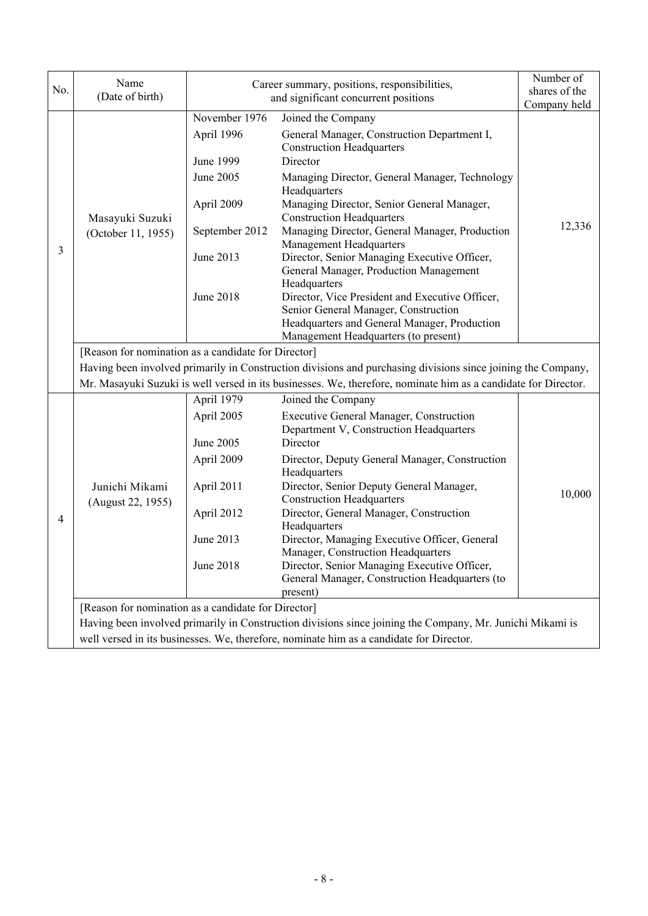| No.            | Name<br>(Date of birth)                                                                                   | Career summary, positions, responsibilities,<br>and significant concurrent positions | Number of<br>shares of the<br>Company held                                                                                                                                                      |        |  |  |
|----------------|-----------------------------------------------------------------------------------------------------------|--------------------------------------------------------------------------------------|-------------------------------------------------------------------------------------------------------------------------------------------------------------------------------------------------|--------|--|--|
|                |                                                                                                           | November 1976<br>April 1996                                                          | Joined the Company<br>General Manager, Construction Department I,<br><b>Construction Headquarters</b>                                                                                           |        |  |  |
|                |                                                                                                           | June 1999<br>June 2005                                                               | Director<br>Managing Director, General Manager, Technology<br>Headquarters                                                                                                                      |        |  |  |
|                | Masayuki Suzuki                                                                                           | April 2009                                                                           | Managing Director, Senior General Manager,<br><b>Construction Headquarters</b>                                                                                                                  |        |  |  |
|                | (October 11, 1955)                                                                                        | September 2012                                                                       | Managing Director, General Manager, Production<br><b>Management Headquarters</b>                                                                                                                | 12,336 |  |  |
| 3              |                                                                                                           | June 2013                                                                            | Director, Senior Managing Executive Officer,<br>General Manager, Production Management                                                                                                          |        |  |  |
|                |                                                                                                           | <b>June 2018</b>                                                                     | Headquarters<br>Director, Vice President and Executive Officer,<br>Senior General Manager, Construction<br>Headquarters and General Manager, Production<br>Management Headquarters (to present) |        |  |  |
|                | [Reason for nomination as a candidate for Director]                                                       |                                                                                      |                                                                                                                                                                                                 |        |  |  |
|                |                                                                                                           |                                                                                      | Having been involved primarily in Construction divisions and purchasing divisions since joining the Company,                                                                                    |        |  |  |
|                |                                                                                                           | April 1979                                                                           | Mr. Masayuki Suzuki is well versed in its businesses. We, therefore, nominate him as a candidate for Director.<br>Joined the Company                                                            |        |  |  |
|                | Junichi Mikami<br>(August 22, 1955)                                                                       | April 2005                                                                           | <b>Executive General Manager, Construction</b><br>Department V, Construction Headquarters                                                                                                       |        |  |  |
|                |                                                                                                           | June 2005                                                                            | Director                                                                                                                                                                                        |        |  |  |
|                |                                                                                                           | April 2009                                                                           | Director, Deputy General Manager, Construction<br>Headquarters                                                                                                                                  |        |  |  |
|                |                                                                                                           | April 2011                                                                           | Director, Senior Deputy General Manager,<br><b>Construction Headquarters</b>                                                                                                                    | 10,000 |  |  |
| $\overline{4}$ |                                                                                                           | April 2012                                                                           | Director, General Manager, Construction<br>Headquarters                                                                                                                                         |        |  |  |
|                |                                                                                                           | June 2013                                                                            | Director, Managing Executive Officer, General<br>Manager, Construction Headquarters                                                                                                             |        |  |  |
|                |                                                                                                           | June 2018                                                                            | Director, Senior Managing Executive Officer,<br>General Manager, Construction Headquarters (to<br>present)                                                                                      |        |  |  |
|                | [Reason for nomination as a candidate for Director]                                                       |                                                                                      |                                                                                                                                                                                                 |        |  |  |
|                | Having been involved primarily in Construction divisions since joining the Company, Mr. Junichi Mikami is |                                                                                      |                                                                                                                                                                                                 |        |  |  |
|                | well versed in its businesses. We, therefore, nominate him as a candidate for Director.                   |                                                                                      |                                                                                                                                                                                                 |        |  |  |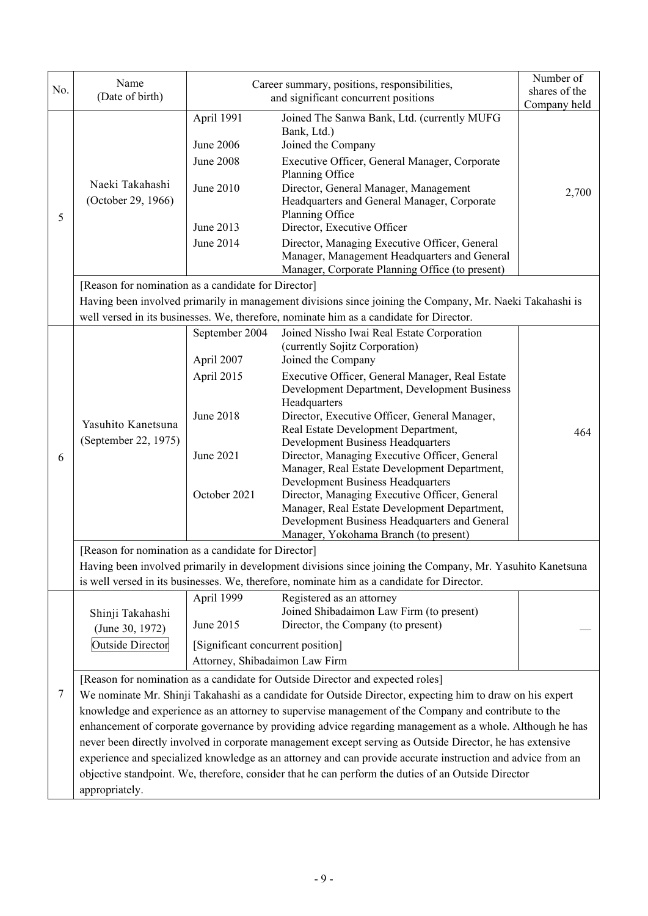| No. | Name<br>(Date of birth)                                                                                                                                                                                           | Career summary, positions, responsibilities,<br>and significant concurrent positions | Number of<br>shares of the<br>Company held                                                                                                                                                                                                                                                                                                                                                      |       |  |  |  |
|-----|-------------------------------------------------------------------------------------------------------------------------------------------------------------------------------------------------------------------|--------------------------------------------------------------------------------------|-------------------------------------------------------------------------------------------------------------------------------------------------------------------------------------------------------------------------------------------------------------------------------------------------------------------------------------------------------------------------------------------------|-------|--|--|--|
| 5   | Naeki Takahashi<br>(October 29, 1966)                                                                                                                                                                             | April 1991<br>June 2006<br>June 2008<br>June 2010<br>June 2013<br>June 2014          | Joined The Sanwa Bank, Ltd. (currently MUFG<br>Bank, Ltd.)<br>Joined the Company<br>Executive Officer, General Manager, Corporate<br>Planning Office<br>Director, General Manager, Management<br>Headquarters and General Manager, Corporate<br>Planning Office<br>Director, Executive Officer<br>Director, Managing Executive Officer, General<br>Manager, Management Headquarters and General | 2,700 |  |  |  |
|     |                                                                                                                                                                                                                   |                                                                                      | Manager, Corporate Planning Office (to present)                                                                                                                                                                                                                                                                                                                                                 |       |  |  |  |
|     | [Reason for nomination as a candidate for Director]                                                                                                                                                               |                                                                                      | Having been involved primarily in management divisions since joining the Company, Mr. Naeki Takahashi is                                                                                                                                                                                                                                                                                        |       |  |  |  |
|     |                                                                                                                                                                                                                   | September 2004                                                                       | well versed in its businesses. We, therefore, nominate him as a candidate for Director.<br>Joined Nissho Iwai Real Estate Corporation                                                                                                                                                                                                                                                           |       |  |  |  |
|     |                                                                                                                                                                                                                   |                                                                                      | (currently Sojitz Corporation)                                                                                                                                                                                                                                                                                                                                                                  |       |  |  |  |
|     |                                                                                                                                                                                                                   | April 2007                                                                           | Joined the Company                                                                                                                                                                                                                                                                                                                                                                              |       |  |  |  |
|     | Yasuhito Kanetsuna<br>(September 22, 1975)                                                                                                                                                                        | April 2015                                                                           | Executive Officer, General Manager, Real Estate<br>Development Department, Development Business<br>Headquarters                                                                                                                                                                                                                                                                                 |       |  |  |  |
|     |                                                                                                                                                                                                                   | June 2018                                                                            | Director, Executive Officer, General Manager,<br>Real Estate Development Department,<br><b>Development Business Headquarters</b>                                                                                                                                                                                                                                                                | 464   |  |  |  |
| 6   |                                                                                                                                                                                                                   | June 2021                                                                            | Director, Managing Executive Officer, General<br>Manager, Real Estate Development Department,                                                                                                                                                                                                                                                                                                   |       |  |  |  |
|     |                                                                                                                                                                                                                   | October 2021                                                                         | <b>Development Business Headquarters</b><br>Director, Managing Executive Officer, General<br>Manager, Real Estate Development Department,<br>Development Business Headquarters and General<br>Manager, Yokohama Branch (to present)                                                                                                                                                             |       |  |  |  |
|     | [Reason for nomination as a candidate for Director]                                                                                                                                                               |                                                                                      |                                                                                                                                                                                                                                                                                                                                                                                                 |       |  |  |  |
|     | Having been involved primarily in development divisions since joining the Company, Mr. Yasuhito Kanetsuna                                                                                                         |                                                                                      |                                                                                                                                                                                                                                                                                                                                                                                                 |       |  |  |  |
|     |                                                                                                                                                                                                                   |                                                                                      | is well versed in its businesses. We, therefore, nominate him as a candidate for Director.                                                                                                                                                                                                                                                                                                      |       |  |  |  |
|     | Shinji Takahashi                                                                                                                                                                                                  | April 1999<br>June 2015                                                              | Registered as an attorney<br>Joined Shibadaimon Law Firm (to present)<br>Director, the Company (to present)                                                                                                                                                                                                                                                                                     |       |  |  |  |
|     | (June 30, 1972)                                                                                                                                                                                                   |                                                                                      |                                                                                                                                                                                                                                                                                                                                                                                                 |       |  |  |  |
|     | <b>Outside Director</b>                                                                                                                                                                                           | [Significant concurrent position]                                                    |                                                                                                                                                                                                                                                                                                                                                                                                 |       |  |  |  |
|     | Attorney, Shibadaimon Law Firm                                                                                                                                                                                    |                                                                                      |                                                                                                                                                                                                                                                                                                                                                                                                 |       |  |  |  |
| 7   | [Reason for nomination as a candidate for Outside Director and expected roles]                                                                                                                                    |                                                                                      |                                                                                                                                                                                                                                                                                                                                                                                                 |       |  |  |  |
|     | We nominate Mr. Shinji Takahashi as a candidate for Outside Director, expecting him to draw on his expert<br>knowledge and experience as an attorney to supervise management of the Company and contribute to the |                                                                                      |                                                                                                                                                                                                                                                                                                                                                                                                 |       |  |  |  |
|     | enhancement of corporate governance by providing advice regarding management as a whole. Although he has                                                                                                          |                                                                                      |                                                                                                                                                                                                                                                                                                                                                                                                 |       |  |  |  |
|     |                                                                                                                                                                                                                   |                                                                                      | never been directly involved in corporate management except serving as Outside Director, he has extensive                                                                                                                                                                                                                                                                                       |       |  |  |  |
|     |                                                                                                                                                                                                                   |                                                                                      | experience and specialized knowledge as an attorney and can provide accurate instruction and advice from an                                                                                                                                                                                                                                                                                     |       |  |  |  |
|     | objective standpoint. We, therefore, consider that he can perform the duties of an Outside Director                                                                                                               |                                                                                      |                                                                                                                                                                                                                                                                                                                                                                                                 |       |  |  |  |
|     | appropriately.                                                                                                                                                                                                    |                                                                                      |                                                                                                                                                                                                                                                                                                                                                                                                 |       |  |  |  |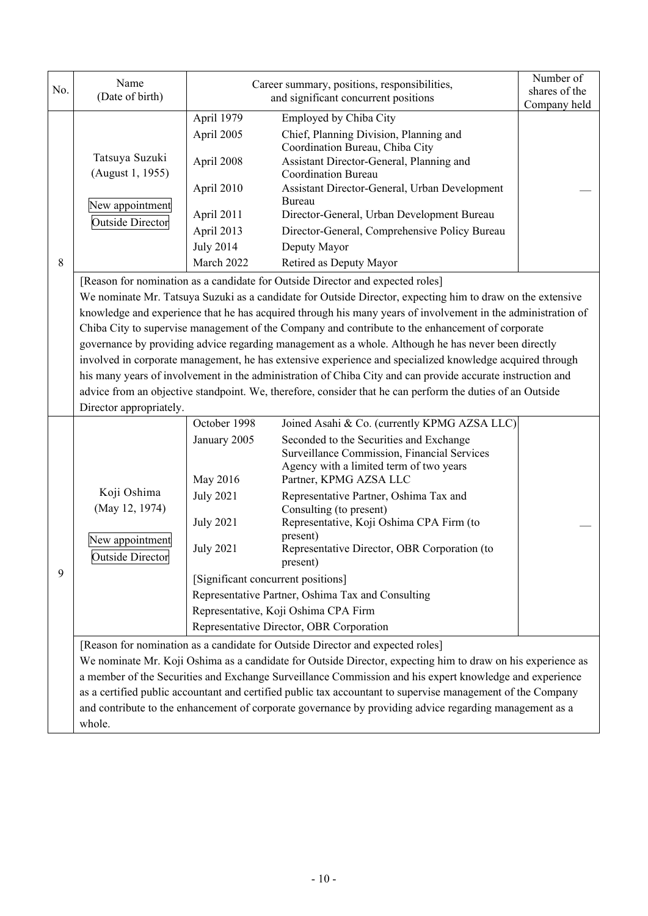| No. | Name<br>(Date of birth)                                                                                                                                                                                                                                                                                                                                                                                                                                                                                                                                                                                                                                                                                                                                                                                                                                                                   | Number of<br>Career summary, positions, responsibilities,<br>shares of the<br>and significant concurrent positions<br>Company held         |                                                                                                                                                                                                                                                                                                                                                                                                                                                                                                                                                                                                                                                                                                                                                                                                                                                           |  |  |  |
|-----|-------------------------------------------------------------------------------------------------------------------------------------------------------------------------------------------------------------------------------------------------------------------------------------------------------------------------------------------------------------------------------------------------------------------------------------------------------------------------------------------------------------------------------------------------------------------------------------------------------------------------------------------------------------------------------------------------------------------------------------------------------------------------------------------------------------------------------------------------------------------------------------------|--------------------------------------------------------------------------------------------------------------------------------------------|-----------------------------------------------------------------------------------------------------------------------------------------------------------------------------------------------------------------------------------------------------------------------------------------------------------------------------------------------------------------------------------------------------------------------------------------------------------------------------------------------------------------------------------------------------------------------------------------------------------------------------------------------------------------------------------------------------------------------------------------------------------------------------------------------------------------------------------------------------------|--|--|--|
| 8   | Tatsuya Suzuki<br>(August 1, 1955)<br>New appointment<br><b>Outside Director</b>                                                                                                                                                                                                                                                                                                                                                                                                                                                                                                                                                                                                                                                                                                                                                                                                          | April 1979<br>April 2005<br>April 2008<br>April 2010<br>April 2011<br>April 2013<br><b>July 2014</b><br>March 2022                         | Employed by Chiba City<br>Chief, Planning Division, Planning and<br>Coordination Bureau, Chiba City<br>Assistant Director-General, Planning and<br><b>Coordination Bureau</b><br>Assistant Director-General, Urban Development<br>Bureau<br>Director-General, Urban Development Bureau<br>Director-General, Comprehensive Policy Bureau<br>Deputy Mayor<br>Retired as Deputy Mayor                                                                                                                                                                                                                                                                                                                                                                                                                                                                        |  |  |  |
|     | [Reason for nomination as a candidate for Outside Director and expected roles]<br>We nominate Mr. Tatsuya Suzuki as a candidate for Outside Director, expecting him to draw on the extensive<br>knowledge and experience that he has acquired through his many years of involvement in the administration of<br>Chiba City to supervise management of the Company and contribute to the enhancement of corporate<br>governance by providing advice regarding management as a whole. Although he has never been directly<br>involved in corporate management, he has extensive experience and specialized knowledge acquired through<br>his many years of involvement in the administration of Chiba City and can provide accurate instruction and<br>advice from an objective standpoint. We, therefore, consider that he can perform the duties of an Outside<br>Director appropriately. |                                                                                                                                            |                                                                                                                                                                                                                                                                                                                                                                                                                                                                                                                                                                                                                                                                                                                                                                                                                                                           |  |  |  |
| 9   | Koji Oshima<br>(May 12, 1974)<br>New appointment<br>Outside Director                                                                                                                                                                                                                                                                                                                                                                                                                                                                                                                                                                                                                                                                                                                                                                                                                      | October 1998<br>January 2005<br>May 2016<br><b>July 2021</b><br><b>July 2021</b><br><b>July 2021</b><br>[Significant concurrent positions] | Joined Asahi & Co. (currently KPMG AZSA LLC)<br>Seconded to the Securities and Exchange<br>Surveillance Commission, Financial Services<br>Agency with a limited term of two years<br>Partner, KPMG AZSA LLC<br>Representative Partner, Oshima Tax and<br>Consulting (to present)<br>Representative, Koji Oshima CPA Firm (to<br>present)<br>Representative Director, OBR Corporation (to<br>present)<br>Representative Partner, Oshima Tax and Consulting<br>Representative, Koji Oshima CPA Firm<br>Representative Director, OBR Corporation<br>[Reason for nomination as a candidate for Outside Director and expected roles]<br>We nominate Mr. Koji Oshima as a candidate for Outside Director, expecting him to draw on his experience as<br>a member of the Securities and Exchange Surveillance Commission and his expert knowledge and experience |  |  |  |
|     | whole.                                                                                                                                                                                                                                                                                                                                                                                                                                                                                                                                                                                                                                                                                                                                                                                                                                                                                    |                                                                                                                                            | as a certified public accountant and certified public tax accountant to supervise management of the Company<br>and contribute to the enhancement of corporate governance by providing advice regarding management as a                                                                                                                                                                                                                                                                                                                                                                                                                                                                                                                                                                                                                                    |  |  |  |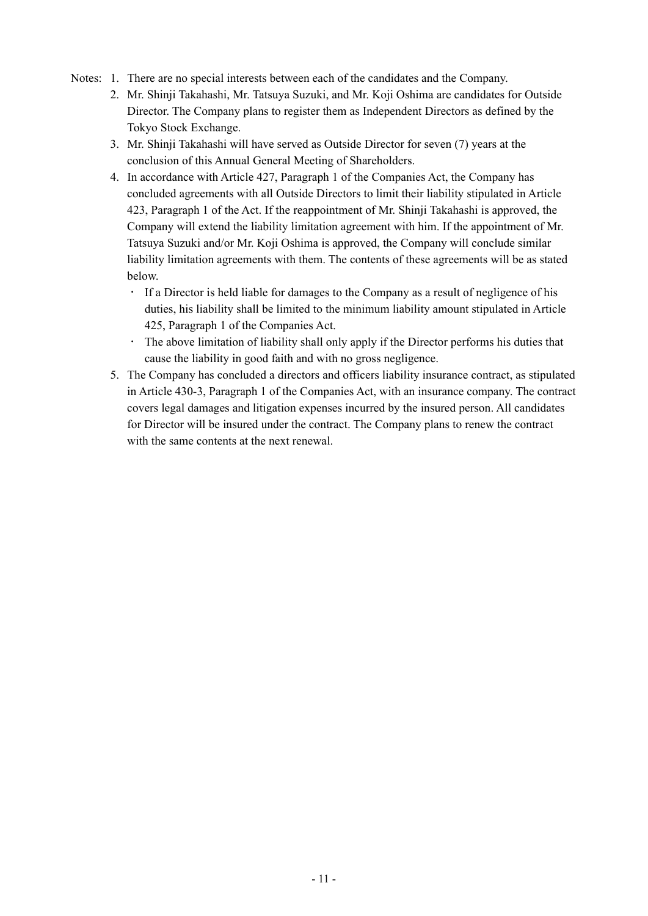- Notes: 1. There are no special interests between each of the candidates and the Company.
	- 2. Mr. Shinji Takahashi, Mr. Tatsuya Suzuki, and Mr. Koji Oshima are candidates for Outside Director. The Company plans to register them as Independent Directors as defined by the Tokyo Stock Exchange.
	- 3. Mr. Shinji Takahashi will have served as Outside Director for seven (7) years at the conclusion of this Annual General Meeting of Shareholders.
	- 4. In accordance with Article 427, Paragraph 1 of the Companies Act, the Company has concluded agreements with all Outside Directors to limit their liability stipulated in Article 423, Paragraph 1 of the Act. If the reappointment of Mr. Shinji Takahashi is approved, the Company will extend the liability limitation agreement with him. If the appointment of Mr. Tatsuya Suzuki and/or Mr. Koji Oshima is approved, the Company will conclude similar liability limitation agreements with them. The contents of these agreements will be as stated below.
		- If a Director is held liable for damages to the Company as a result of negligence of his duties, his liability shall be limited to the minimum liability amount stipulated in Article 425, Paragraph 1 of the Companies Act.
		- The above limitation of liability shall only apply if the Director performs his duties that cause the liability in good faith and with no gross negligence.
	- 5. The Company has concluded a directors and officers liability insurance contract, as stipulated in Article 430-3, Paragraph 1 of the Companies Act, with an insurance company. The contract covers legal damages and litigation expenses incurred by the insured person. All candidates for Director will be insured under the contract. The Company plans to renew the contract with the same contents at the next renewal.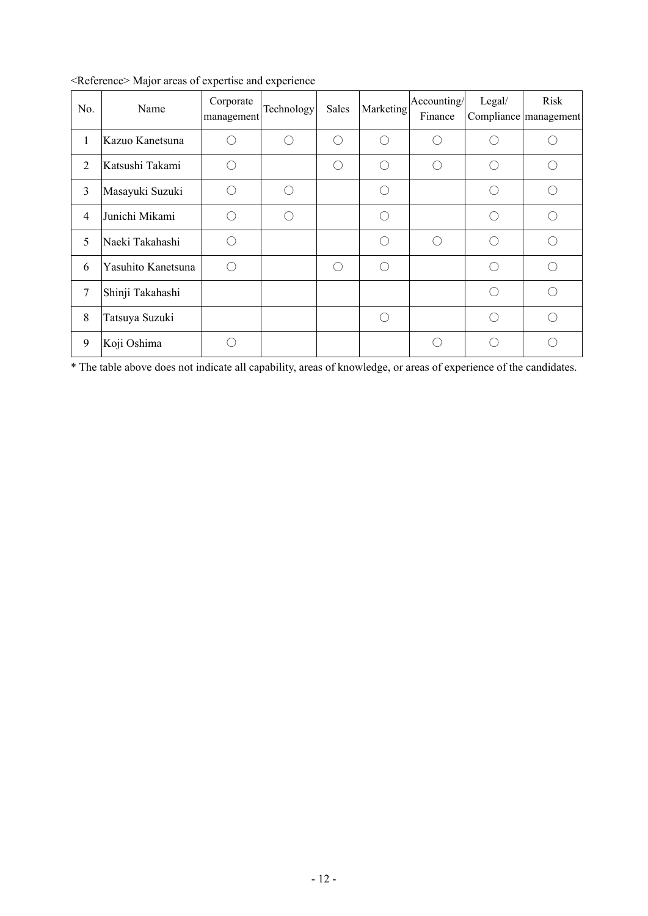| No.            | Name               | Corporate<br>management | Technology | Sales     | Marketing | Accounting/<br>Finance | Legal/ | Risk<br>Compliance management                       |
|----------------|--------------------|-------------------------|------------|-----------|-----------|------------------------|--------|-----------------------------------------------------|
| $\mathbf{1}$   | Kazuo Kanetsuna    |                         |            | $\bigcap$ | ⌒         |                        |        |                                                     |
| $\overline{2}$ | Katsushi Takami    |                         |            | ( )       |           |                        |        |                                                     |
| 3              | Masayuki Suzuki    | ⊖                       |            |           |           |                        | ⊖      |                                                     |
| $\overline{4}$ | Junichi Mikami     |                         |            |           |           |                        |        |                                                     |
| 5              | Naeki Takahashi    |                         |            |           | ◯         | ( )                    | ⊂      |                                                     |
| 6              | Yasuhito Kanetsuna |                         |            | ( )       |           |                        |        |                                                     |
| $\overline{7}$ | Shinji Takahashi   |                         |            |           |           |                        |        | $\left( \begin{array}{c} \cdot \end{array} \right)$ |
| 8              | Tatsuya Suzuki     |                         |            |           |           |                        |        |                                                     |
| 9              | Koji Oshima        |                         |            |           |           |                        |        |                                                     |

<Reference> Major areas of expertise and experience

\* The table above does not indicate all capability, areas of knowledge, or areas of experience of the candidates.